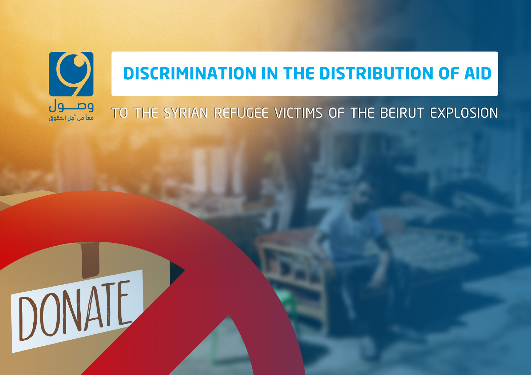

# **DISCRIMINATION IN THE DISTRIBUTION OF AID**

## TO THE SYRIAN REFUGEE VICTIMS OF THE BEIRUT EXPLOSION

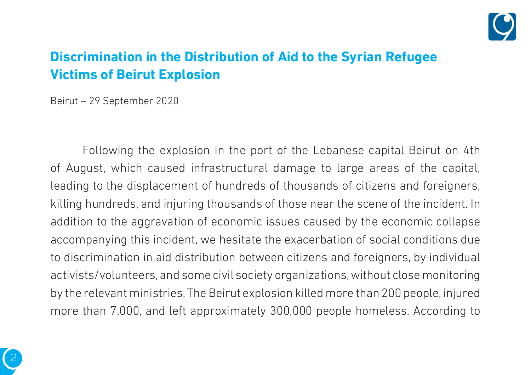

## **Discrimination in the Distribution of Aid to the Syrian Refugee Victims of Beirut Explosion**

Beirut – 29 September 2020

Following the explosion in the port of the Lebanese capital Beirut on 4th of August, which caused infrastructural damage to large areas of the capital, leading to the displacement of hundreds of thousands of citizens and foreigners, killing hundreds, and injuring thousands of those near the scene of the incident. In addition to the aggravation of economic issues caused by the economic collapse accompanying this incident, we hesitate the exacerbation of social conditions due to discrimination in aid distribution between citizens and foreigners, by individual activists/volunteers, and some civil society organizations, without close monitoring by the relevant ministries. The Beirut explosion killed more than 200 people, injured more than 7,000, and left approximately 300,000 people homeless. According to

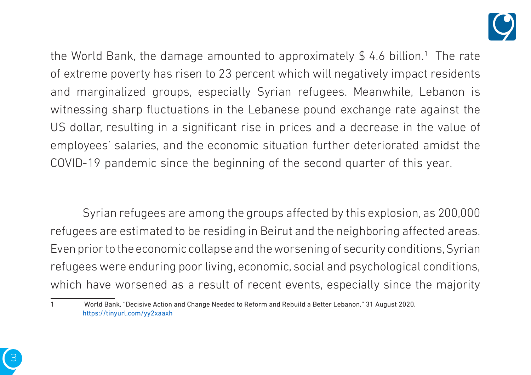

the World Bank, the damage amounted to approximately  $\$$  4.6 billion.<sup>1</sup> The rate of extreme poverty has risen to 23 percent which will negatively impact residents and marginalized groups, especially Syrian refugees. Meanwhile, Lebanon is witnessing sharp fluctuations in the Lebanese pound exchange rate against the US dollar, resulting in a significant rise in prices and a decrease in the value of employees' salaries, and the economic situation further deteriorated amidst the .000 COVID-19 pandemic since the beginning of the second quarter of this year.

Syrian refugees are among the groups affected by this explosion, as 200,000 refugees are estimated to be residing in Beirut and the neighboring affected areas. Even prior to the economic collapse and the worsening of security conditions, Syrian refugees were enduring poor living, economic, social and psychological conditions, which have worsened as a result of recent events, especially since the majority



<sup>2020.</sup> August 2020. August 31 August 31 August 2020. August 2020. August 2020. https://tinyurl.com/yy2xaaxh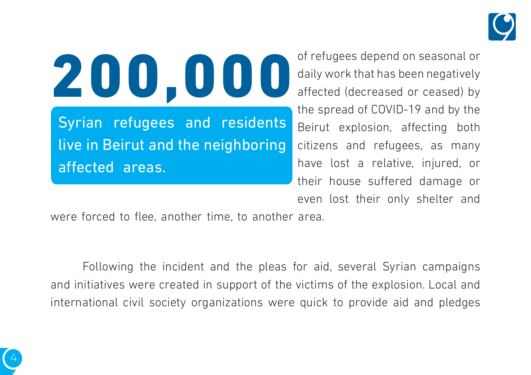

200,000 Syrian refugees and residents live in Beirut and the neighboring affected areas.

of refugees depend on seasonal or daily work that has been negatively affected (decreased or ceased) by the spread of COVID-19 and by the Beirut explosion, affecting both citizens and refugees, as many have lost a relative, injured, or their house suffered damage or even lost their only shelter and

were forced to flee, another time, to another area.

4

Following the incident and the pleas for aid, several Syrian campaigns and initiatives were created in support of the victims of the explosion. Local and international civil society organizations were quick to provide aid and pledges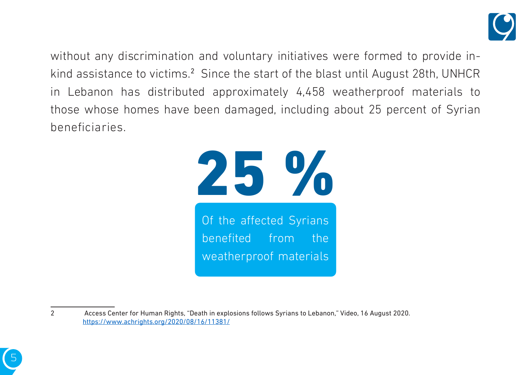

without any discrimination and voluntary initiatives were formed to provide in-<br>kind assistance to victims.<sup>2</sup> Since the start of the blast until August 28th, UNHCR without any discrimination and voluntary initiatives were formed to provide inin Lebanon has distributed approximately 4,458 weatherproof materials to those whose homes have been damaged, including about 25 percent of Syrian .beneficiaries





<sup>2</sup> Access Center for Human Rights, "Death in explosions follows Syrians to Lebanon," Video, 16 August 2020. https://www.achrights.org/2020/08/16/11381/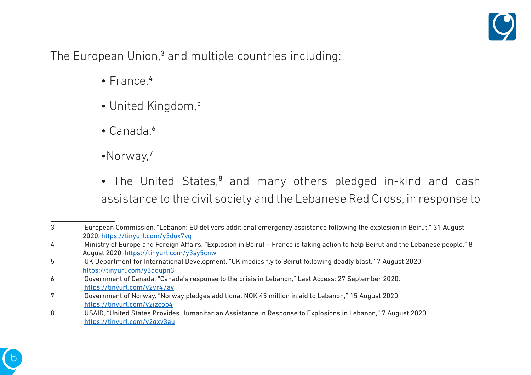

The European Union,<sup>3</sup> and multiple countries including:

- $\cdot$  France.<sup>4</sup>
- United Kingdom.<sup>5</sup>
- $\cdot$  Canada. $\circ$
- •Norway.<sup>7</sup>
- The United States,<sup>8</sup> and many others pledged in-kind and cash assistance to the civil society and the Lebanese Red Cross, in response to

<sup>3</sup> European Commission, "Lebanon: EU delivers additional emergency assistance following the explosion in Beirut," 31 August 2020. https://tinyurl.com/y3dox7vq

<sup>4</sup> Ministry of Europe and Foreign Affairs, "Explosion in Beirut – France is taking action to help Beirut and the Lebanese people," 8 August 2020. https://tinyurl.com/y3sy5cnw

<sup>5</sup> UK Department for International Development, "UK medics fly to Beirut following deadly blast," 7 August 2020. https://tinyurl.com/y3qqupn3

<sup>6 6 ·</sup> Covernment of Canada, "Canada's response to the crisis in Lebanon," Last Access: 27 September 2020. https://tinyurl.com/y2vr47av

<sup>7</sup> Government of Norway, "Norway pledges additional NOK 45 million in aid to Lebanon," 15 August 2020. https://tinyurl.com/v2izcop4

<sup>8</sup> USAID, "United States Provides Humanitarian Assistance in Response to Explosions in Lebanon," 7 August 2020. https://tinyurl.com/v2gxy3au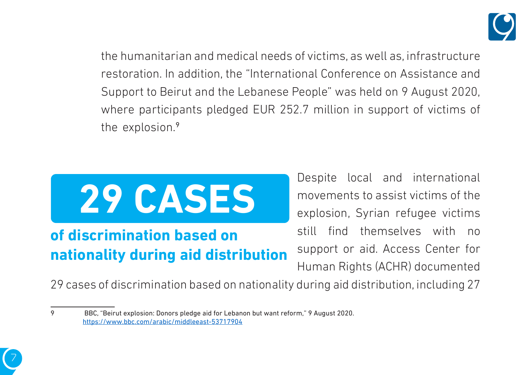

the humanitarian and medical needs of victims, as well as, infrastructure restoration. In addition, the "International Conference on Assistance and Support to Beirut and the Lebanese People" was held on 9 August 2020, where participants pledged EUR 252.7 million in support of victims of the explosion. $9$ 



## **of discrimination based on nationality during aid distribution**

Despite local and international movements to assist victims of the explosion, Syrian refugee victims still find themselves with no support or aid. Access Center for Human Rights (ACHR) documented

29 cases of discrimination based on nationality during aid distribution, including 27



<sup>2020.</sup> BBC, "Beirut explosion: Donors pledge aid for Lebanon but want reform," 9 August 2020. https://www.bbc.com/arabic/middleeast-53717904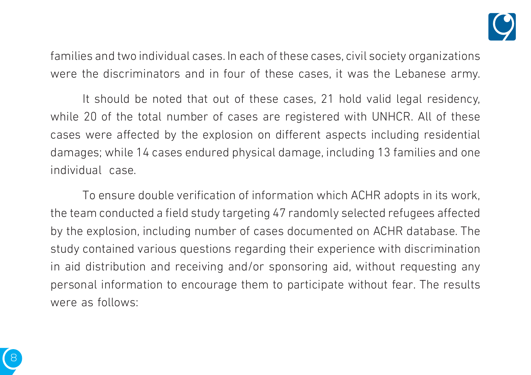

families and two individual cases. In each of these cases, civil society organizations were the discriminators and in four of these cases, it was the Lebanese army.

It should be noted that out of these cases, 21 hold valid legal residency, while 20 of the total number of cases are registered with UNHCR. All of these cases were affected by the explosion on different aspects including residential damages; while 14 cases endured physical damage, including 13 families and one individual case.

To ensure double verification of information which ACHR adopts in its work, the team conducted a field study targeting 47 randomly selected refugees affected by the explosion, including number of cases documented on ACHR database. The study contained various questions regarding their experience with discrimination in aid distribution and receiving and/or sponsoring aid, without requesting any personal information to encourage them to participate without fear. The results were as follows:

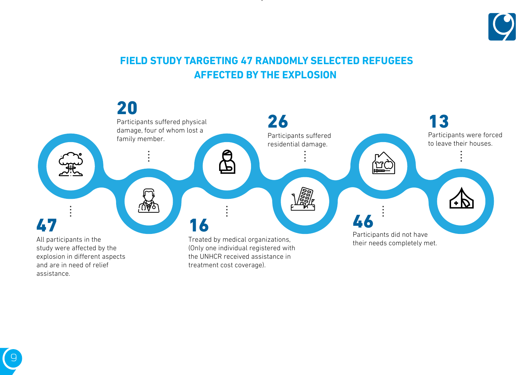

#### **FIELD STUDY TARGETING 47 RANDOMLY SELECTED REFUGEES AFFECTED BY THE EXPLOSION**

explosion of the contract of the contract of the contract of the contract of the contract of the contract of the



9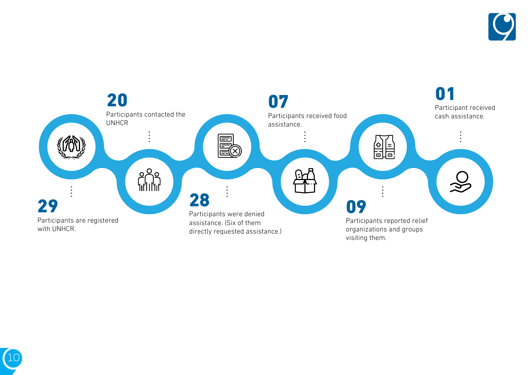



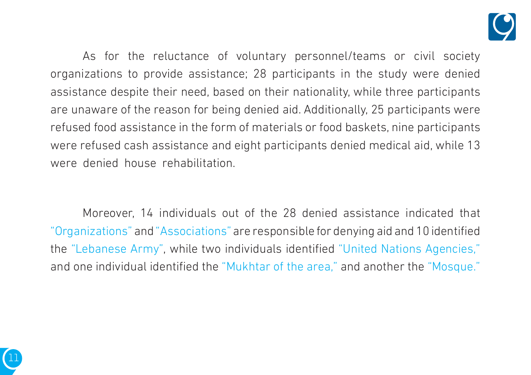

As for the reluctance of voluntary personnel/teams or civil society organizations to provide assistance; 28 participants in the study were denied assistance despite their need, based on their nationality, while three participants are unaware of the reason for being denied aid. Additionally, 25 participants were refused food assistance in the form of materials or food baskets, nine participants were refused cash assistance and eight participants denied medical aid, while 13 were denied house rehabilitation.

Moreover, 14 individuals out of the 28 denied assistance indicated that "Organizations" and "Associations" are responsible for denying aid and 10 identified the "Lebanese Army", while two individuals identified "United Nations Agencies," and one individual identified the "Mukhtar of the area," and another the "Mosque."

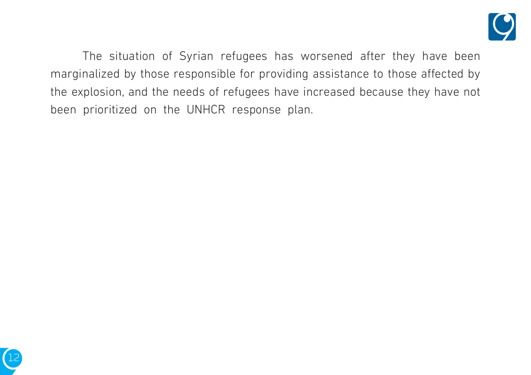

The situation of Syrian refugees has worsened after they have been marginalized by those responsible for providing assistance to those affected by the explosion, and the needs of refugees have increased because they have not been prioritized on the UNHCR response plan.

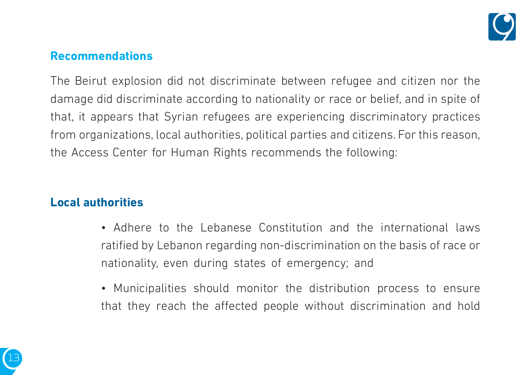

#### **Recommendations**

The Beirut explosion did not discriminate between refugee and citizen nor the damage did discriminate according to nationality or race or belief, and in spite of that, it appears that Syrian refugees are experiencing discriminatory practices from organizations, local authorities, political parties and citizens. For this reason, the Access Center for Human Rights recommends the following:

#### **Local authorities**

- Adhere to the Lebanese Constitution and the international laws ratified by Lebanon regarding non-discrimination on the basis of race or nationality, even during states of emergency; and
- Municipalities should monitor the distribution process to ensure that they reach the affected people without discrimination and hold

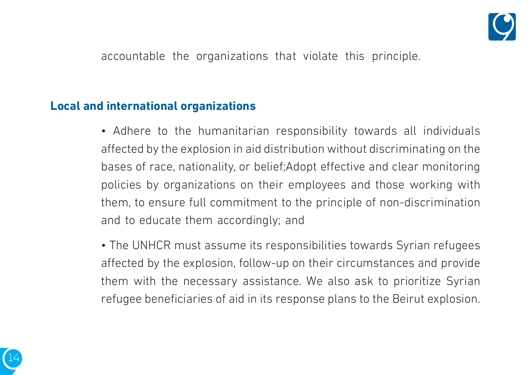

accountable the organizations that violate this principle.

#### **Local and international organizations**

- Adhere to the humanitarian responsibility towards all individuals affected by the explosion in aid distribution without discriminating on the bases of race, nationality, or belief; Adopt effective and clear monitoring policies by organizations on their employees and those working with them, to ensure full commitment to the principle of non-discrimination and to educate them accordingly; and
- The UNHCR must assume its responsibilities towards Syrian refugees affected by the explosion, follow-up on their circumstances and provide them with the necessary assistance. We also ask to prioritize Syrian refugee beneficiaries of aid in its response plans to the Beirut explosion.